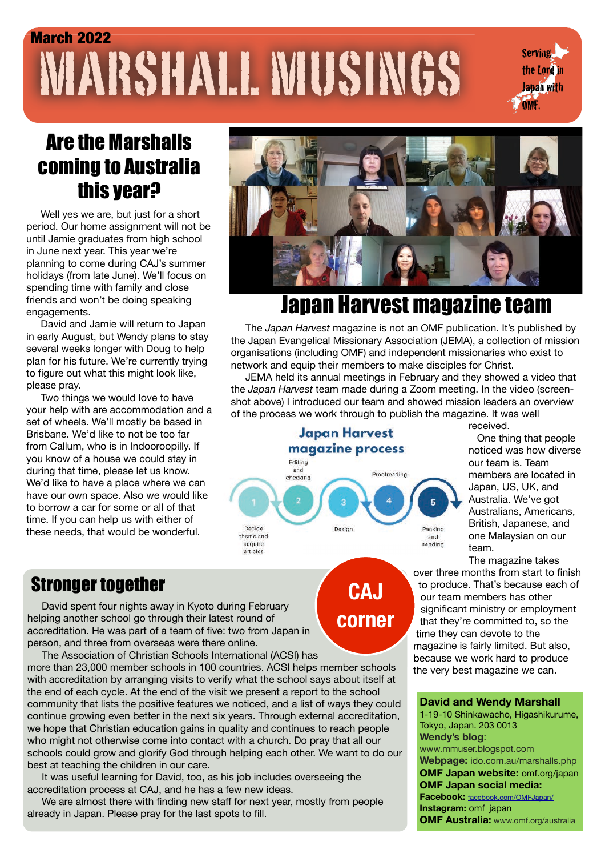# MARSHALL MUSINGS March 2022

**Serving** the Lord in Japan with OMF.

# Are the Marshalls coming to Australia this year?

Well yes we are, but just for a short period. Our home assignment will not be until Jamie graduates from high school in June next year. This year we're planning to come during CAJ's summer holidays (from late June). We'll focus on spending time with family and close friends and won't be doing speaking engagements.

David and Jamie will return to Japan in early August, but Wendy plans to stay several weeks longer with Doug to help plan for his future. We're currently trying to figure out what this might look like, please pray.

Two things we would love to have your help with are accommodation and a set of wheels. We'll mostly be based in Brisbane. We'd like to not be too far from Callum, who is in Indooroopilly. If you know of a house we could stay in during that time, please let us know. We'd like to have a place where we can have our own space. Also we would like to borrow a car for some or all of that time. If you can help us with either of these needs, that would be wonderful.

# Japan Harvest magazine team

The *Japan Harvest* magazine is not an OMF publication. It's published by the Japan Evangelical Missionary Association (JEMA), a collection of mission organisations (including OMF) and independent missionaries who exist to network and equip their members to make disciples for Christ.

JEMA held its annual meetings in February and they showed a video that the *Japan Harvest* team made during a Zoom meeting. In the video (screenshot above) I introduced our team and showed mission leaders an overview of the process we work through to publish the magazine. It was well

#### **Japan Harvest** magazine process



received.

 One thing that people noticed was how diverse our team is. Team members are located in Japan, US, UK, and Australia. We've got Australians, Americans, British, Japanese, and one Malaysian on our team.

The magazine takes over three months from start to finish to produce. That's because each of our team members has other significant ministry or employment that they're committed to, so the time they can devote to the magazine is fairly limited. But also, because we work hard to produce the very best magazine we can.

#### **David and Wendy Marshall**

1-19-10 Shinkawacho, Higashikurume, Tokyo, Japan. 203 0013 **Wendy's blog**: www.mmuser.blogspot.com **Webpage:** [ido.com.au/marshalls.php](http://www.ido.com.au/marshalls.php) **OMF Japan website:** omf.org/japan **OMF Japan social media: Facebook:** [facebook.com/OMFJapan/](http://facebook.com/OMFJapan/) **Instagram:** omf\_japan **OMF Australia:** [www.omf.org/australia](http://www.omf.org/australia)

## Stronger together

David spent four nights away in Kyoto during February helping another school go through their latest round of **SITUNISH TUJETILET**<br>David spent four nights away in Kyoto during February<br>helping another school go through their latest round of<br>accreditation. He was part of a team of five: two from Japan in person, and three from overseas were there online.

The Association of Christian Schools International (ACSI) has

more than 23,000 member schools in 100 countries. ACSI helps member schools with accreditation by arranging visits to verify what the school says about itself at the end of each cycle. At the end of the visit we present a report to the school community that lists the positive features we noticed, and a list of ways they could continue growing even better in the next six years. Through external accreditation, we hope that Christian education gains in quality and continues to reach people who might not otherwise come into contact with a church. Do pray that all our schools could grow and glorify God through helping each other. We want to do our best at teaching the children in our care.

It was useful learning for David, too, as his job includes overseeing the accreditation process at CAJ, and he has a few new ideas.

We are almost there with finding new staff for next year, mostly from people already in Japan. Please pray for the last spots to fill.

**corner**